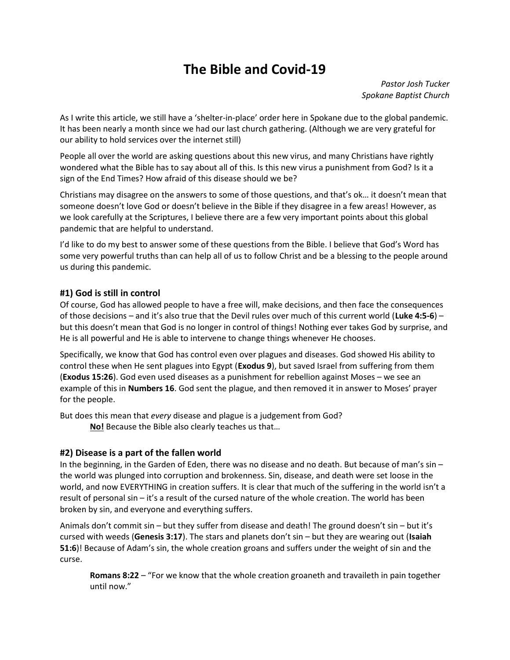# The Bible and Covid-19

Pastor Josh Tucker Spokane Baptist Church

As I write this article, we still have a 'shelter-in-place' order here in Spokane due to the global pandemic. It has been nearly a month since we had our last church gathering. (Although we are very grateful for our ability to hold services over the internet still)

People all over the world are asking questions about this new virus, and many Christians have rightly wondered what the Bible has to say about all of this. Is this new virus a punishment from God? Is it a sign of the End Times? How afraid of this disease should we be?

Christians may disagree on the answers to some of those questions, and that's ok… it doesn't mean that someone doesn't love God or doesn't believe in the Bible if they disagree in a few areas! However, as we look carefully at the Scriptures, I believe there are a few very important points about this global pandemic that are helpful to understand.

I'd like to do my best to answer some of these questions from the Bible. I believe that God's Word has some very powerful truths than can help all of us to follow Christ and be a blessing to the people around us during this pandemic.

## #1) God is still in control

Of course, God has allowed people to have a free will, make decisions, and then face the consequences of those decisions – and it's also true that the Devil rules over much of this current world (Luke 4:5-6) – but this doesn't mean that God is no longer in control of things! Nothing ever takes God by surprise, and He is all powerful and He is able to intervene to change things whenever He chooses.

Specifically, we know that God has control even over plagues and diseases. God showed His ability to control these when He sent plagues into Egypt (Exodus 9), but saved Israel from suffering from them (Exodus 15:26). God even used diseases as a punishment for rebellion against Moses – we see an example of this in Numbers 16. God sent the plague, and then removed it in answer to Moses' prayer for the people.

But does this mean that every disease and plague is a judgement from God? No! Because the Bible also clearly teaches us that…

#### #2) Disease is a part of the fallen world

In the beginning, in the Garden of Eden, there was no disease and no death. But because of man's sin – the world was plunged into corruption and brokenness. Sin, disease, and death were set loose in the world, and now EVERYTHING in creation suffers. It is clear that much of the suffering in the world isn't a result of personal sin – it's a result of the cursed nature of the whole creation. The world has been broken by sin, and everyone and everything suffers.

Animals don't commit sin – but they suffer from disease and death! The ground doesn't sin – but it's cursed with weeds (Genesis 3:17). The stars and planets don't sin  $-$  but they are wearing out (Isaiah 51:6)! Because of Adam's sin, the whole creation groans and suffers under the weight of sin and the curse.

Romans 8:22 – "For we know that the whole creation groaneth and travaileth in pain together until now."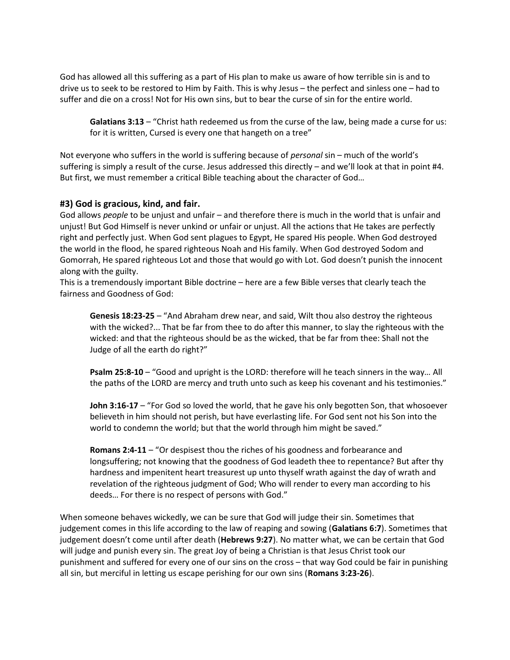God has allowed all this suffering as a part of His plan to make us aware of how terrible sin is and to drive us to seek to be restored to Him by Faith. This is why Jesus – the perfect and sinless one – had to suffer and die on a cross! Not for His own sins, but to bear the curse of sin for the entire world.

Galatians 3:13 – "Christ hath redeemed us from the curse of the law, being made a curse for us: for it is written, Cursed is every one that hangeth on a tree"

Not everyone who suffers in the world is suffering because of *personal* sin – much of the world's suffering is simply a result of the curse. Jesus addressed this directly – and we'll look at that in point #4. But first, we must remember a critical Bible teaching about the character of God…

## #3) God is gracious, kind, and fair.

God allows people to be unjust and unfair – and therefore there is much in the world that is unfair and unjust! But God Himself is never unkind or unfair or unjust. All the actions that He takes are perfectly right and perfectly just. When God sent plagues to Egypt, He spared His people. When God destroyed the world in the flood, he spared righteous Noah and His family. When God destroyed Sodom and Gomorrah, He spared righteous Lot and those that would go with Lot. God doesn't punish the innocent along with the guilty.

This is a tremendously important Bible doctrine – here are a few Bible verses that clearly teach the fairness and Goodness of God:

Genesis 18:23-25 - "And Abraham drew near, and said, Wilt thou also destroy the righteous with the wicked?... That be far from thee to do after this manner, to slay the righteous with the wicked: and that the righteous should be as the wicked, that be far from thee: Shall not the Judge of all the earth do right?"

Psalm 25:8-10 – "Good and upright is the LORD: therefore will he teach sinners in the way... All the paths of the LORD are mercy and truth unto such as keep his covenant and his testimonies."

**John 3:16-17** – "For God so loved the world, that he gave his only begotten Son, that whosoever believeth in him should not perish, but have everlasting life. For God sent not his Son into the world to condemn the world; but that the world through him might be saved."

Romans 2:4-11 – "Or despisest thou the riches of his goodness and forbearance and longsuffering; not knowing that the goodness of God leadeth thee to repentance? But after thy hardness and impenitent heart treasurest up unto thyself wrath against the day of wrath and revelation of the righteous judgment of God; Who will render to every man according to his deeds… For there is no respect of persons with God."

When someone behaves wickedly, we can be sure that God will judge their sin. Sometimes that judgement comes in this life according to the law of reaping and sowing (Galatians 6:7). Sometimes that judgement doesn't come until after death (Hebrews 9:27). No matter what, we can be certain that God will judge and punish every sin. The great Joy of being a Christian is that Jesus Christ took our punishment and suffered for every one of our sins on the cross – that way God could be fair in punishing all sin, but merciful in letting us escape perishing for our own sins (Romans 3:23-26).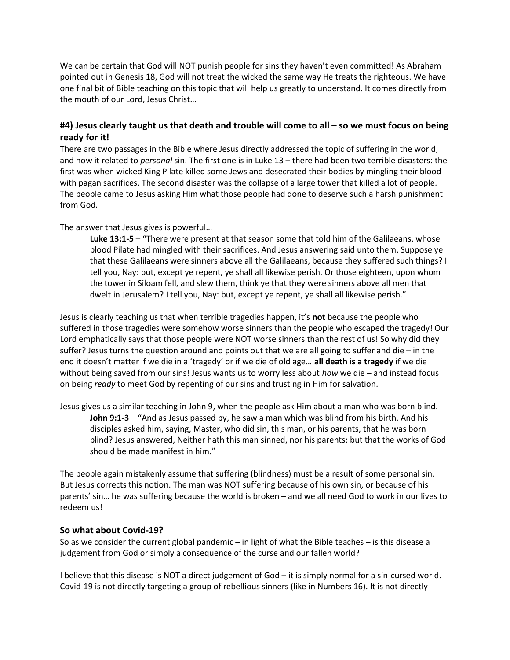We can be certain that God will NOT punish people for sins they haven't even committed! As Abraham pointed out in Genesis 18, God will not treat the wicked the same way He treats the righteous. We have one final bit of Bible teaching on this topic that will help us greatly to understand. It comes directly from the mouth of our Lord, Jesus Christ…

# #4) Jesus clearly taught us that death and trouble will come to all – so we must focus on being ready for it!

There are two passages in the Bible where Jesus directly addressed the topic of suffering in the world, and how it related to *personal* sin. The first one is in Luke 13 – there had been two terrible disasters: the first was when wicked King Pilate killed some Jews and desecrated their bodies by mingling their blood with pagan sacrifices. The second disaster was the collapse of a large tower that killed a lot of people. The people came to Jesus asking Him what those people had done to deserve such a harsh punishment from God.

## The answer that Jesus gives is powerful…

Luke 13:1-5 – "There were present at that season some that told him of the Galilaeans, whose blood Pilate had mingled with their sacrifices. And Jesus answering said unto them, Suppose ye that these Galilaeans were sinners above all the Galilaeans, because they suffered such things? I tell you, Nay: but, except ye repent, ye shall all likewise perish. Or those eighteen, upon whom the tower in Siloam fell, and slew them, think ye that they were sinners above all men that dwelt in Jerusalem? I tell you, Nay: but, except ye repent, ye shall all likewise perish."

Jesus is clearly teaching us that when terrible tragedies happen, it's not because the people who suffered in those tragedies were somehow worse sinners than the people who escaped the tragedy! Our Lord emphatically says that those people were NOT worse sinners than the rest of us! So why did they suffer? Jesus turns the question around and points out that we are all going to suffer and die – in the end it doesn't matter if we die in a 'tragedy' or if we die of old age… all death is a tragedy if we die without being saved from our sins! Jesus wants us to worry less about how we die – and instead focus on being ready to meet God by repenting of our sins and trusting in Him for salvation.

Jesus gives us a similar teaching in John 9, when the people ask Him about a man who was born blind. John 9:1-3 – "And as Jesus passed by, he saw a man which was blind from his birth. And his disciples asked him, saying, Master, who did sin, this man, or his parents, that he was born blind? Jesus answered, Neither hath this man sinned, nor his parents: but that the works of God should be made manifest in him."

The people again mistakenly assume that suffering (blindness) must be a result of some personal sin. But Jesus corrects this notion. The man was NOT suffering because of his own sin, or because of his parents' sin… he was suffering because the world is broken – and we all need God to work in our lives to redeem us!

#### So what about Covid-19?

So as we consider the current global pandemic – in light of what the Bible teaches – is this disease a judgement from God or simply a consequence of the curse and our fallen world?

I believe that this disease is NOT a direct judgement of God – it is simply normal for a sin-cursed world. Covid-19 is not directly targeting a group of rebellious sinners (like in Numbers 16). It is not directly